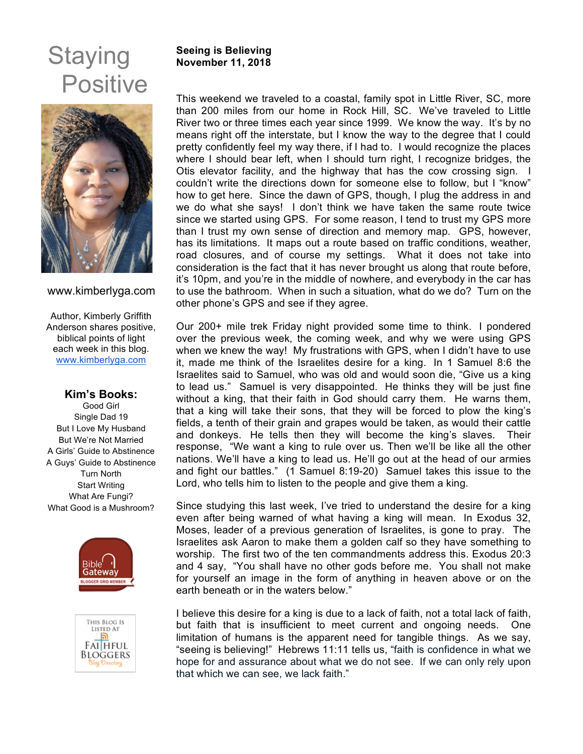# **Staying Positive**



#### www.kimberlyga.com

Author, Kimberly Griffith Anderson shares positive, biblical points of light each week in this blog. www.kimberlyga.com

### **Kim's Books:**

Good Girl Single Dad 19 But I Love My Husband But We're Not Married A Girls' Guide to Abstinence A Guys' Guide to Abstinence Turn North Start Writing What Are Fungi? What Good is a Mushroom?





### **Seeing is Believing November 11, 2018**

This weekend we traveled to a coastal, family spot in Little River, SC, more than 200 miles from our home in Rock Hill, SC. We've traveled to Little River two or three times each year since 1999. We know the way. It's by no means right off the interstate, but I know the way to the degree that I could pretty confidently feel my way there, if I had to. I would recognize the places where I should bear left, when I should turn right, I recognize bridges, the Otis elevator facility, and the highway that has the cow crossing sign. I couldn't write the directions down for someone else to follow, but I "know" how to get here. Since the dawn of GPS, though, I plug the address in and we do what she says! I don't think we have taken the same route twice since we started using GPS. For some reason, I tend to trust my GPS more than I trust my own sense of direction and memory map. GPS, however, has its limitations. It maps out a route based on traffic conditions, weather, road closures, and of course my settings. What it does not take into consideration is the fact that it has never brought us along that route before, it's 10pm, and you're in the middle of nowhere, and everybody in the car has to use the bathroom. When in such a situation, what do we do? Turn on the other phone's GPS and see if they agree.

Our 200+ mile trek Friday night provided some time to think. I pondered over the previous week, the coming week, and why we were using GPS when we knew the way! My frustrations with GPS, when I didn't have to use it, made me think of the Israelites desire for a king. In 1 Samuel 8:6 the Israelites said to Samuel, who was old and would soon die, "Give us a king to lead us." Samuel is very disappointed. He thinks they will be just fine without a king, that their faith in God should carry them. He warns them, that a king will take their sons, that they will be forced to plow the king's fields, a tenth of their grain and grapes would be taken, as would their cattle and donkeys. He tells then they will become the king's slaves. Their response, "We want a king to rule over us. Then we'll be like all the other nations. We'll have a king to lead us. He'll go out at the head of our armies and fight our battles." (1 Samuel 8:19-20) Samuel takes this issue to the Lord, who tells him to listen to the people and give them a king.

Since studying this last week, I've tried to understand the desire for a king even after being warned of what having a king will mean. In Exodus 32, Moses, leader of a previous generation of Israelites, is gone to pray. The Israelites ask Aaron to make them a golden calf so they have something to worship. The first two of the ten commandments address this. Exodus 20:3 and 4 say, "You shall have no other gods before me. You shall not make for yourself an image in the form of anything in heaven above or on the earth beneath or in the waters below."

I believe this desire for a king is due to a lack of faith, not a total lack of faith, but faith that is insufficient to meet current and ongoing needs. One limitation of humans is the apparent need for tangible things. As we say, "seeing is believing!" Hebrews 11:11 tells us, "faith is confidence in what we hope for and assurance about what we do not see. If we can only rely upon that which we can see, we lack faith."